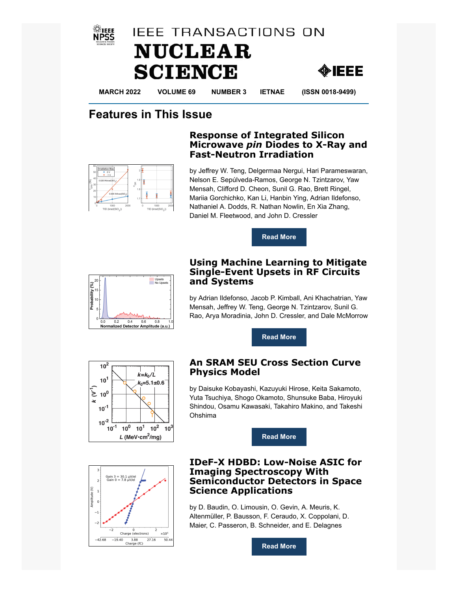





**MARCH 2022 VOLUME 69 NUMBER 3 IETNAE (ISSN 0018-9499)**

## **Features in This Issue**



by Jeffrey W. Teng, Delgermaa Nergui, Hari Parameswaran, Nelson E. Sepúlveda-Ramos, George N. Tzintzarov, Yaw Mensah, Clifford D. Cheon, Sunil G. Rao, Brett Ringel, Mariia Gorchichko, Kan Li, Hanbin Ying, Adrian Ildefonso, Nathaniel A. Dodds, R. Nathan Nowlin, En Xia Zhang, Daniel M. Fleetwood, and John D. Cressler

**Response of Integrated Silicon Microwave** *pin* **Diodes to X-Ray and**

**Fast-Neutron Irradiation**





## **Using Machine Learning to Mitigate Single-Event Upsets in RF Circuits and Systems**

by Adrian Ildefonso, Jacob P. Kimball, Ani Khachatrian, Yaw Mensah, Jeffrey W. Teng, George N. Tzintzarov, Sunil G. Rao, Arya Moradinia, John D. Cressler, and Dale McMorrow

**[Read More](https://ieeexplore.ieee.org/document/9605678)**



## **An SRAM SEU Cross Section Curve Physics Model**

by Daisuke Kobayashi, Kazuyuki Hirose, Keita Sakamoto, Yuta Tsuchiya, Shogo Okamoto, Shunsuke Baba, Hiroyuki Shindou, Osamu Kawasaki, Takahiro Makino, and Takeshi Ohshima

**[Read More](https://ieeexplore.ieee.org/document/9620027)**



## **IDeF-X HDBD: Low-Noise ASIC for Imaging Spectroscopy With Semiconductor Detectors in Space Science Applications**

by D. Baudin, O. Limousin, O. Gevin, A. Meuris, K. Altenmüller, P. Bausson, F. Ceraudo, X. Coppolani, D. Maier, C. Passeron, B. Schneider, and E. Delagnes